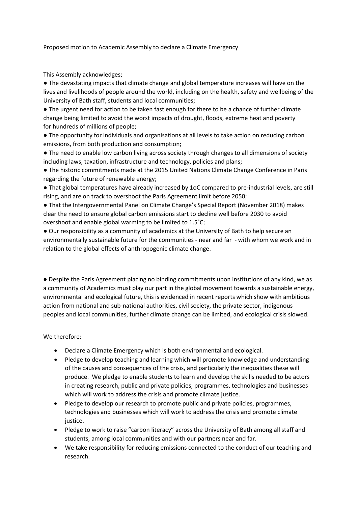Proposed motion to Academic Assembly to declare a Climate Emergency

This Assembly acknowledges;

● The devastating impacts that climate change and global temperature increases will have on the lives and livelihoods of people around the world, including on the health, safety and wellbeing of the University of Bath staff, students and local communities;

● The urgent need for action to be taken fast enough for there to be a chance of further climate change being limited to avoid the worst impacts of drought, floods, extreme heat and poverty for hundreds of millions of people;

● The opportunity for individuals and organisations at all levels to take action on reducing carbon emissions, from both production and consumption;

● The need to enable low carbon living across society through changes to all dimensions of society including laws, taxation, infrastructure and technology, policies and plans;

● The historic commitments made at the 2015 United Nations Climate Change Conference in Paris regarding the future of renewable energy;

● That global temperatures have already increased by 1oC compared to pre-industrial levels, are still rising, and are on track to overshoot the Paris Agreement limit before 2050;

● That the Intergovernmental Panel on Climate Change's Special Report (November 2018) makes clear the need to ensure global carbon emissions start to decline well before 2030 to avoid overshoot and enable global warming to be limited to 1.5˚C;

● Our responsibility as a community of academics at the University of Bath to help secure an environmentally sustainable future for the communities - near and far - with whom we work and in relation to the global effects of anthropogenic climate change.

● Despite the Paris Agreement placing no binding commitments upon institutions of any kind, we as a community of Academics must play our part in the global movement towards a sustainable energy, environmental and ecological future, this is evidenced in recent reports which show with ambitious action from national and sub-national authorities, civil society, the private sector, indigenous peoples and local communities, further climate change can be limited, and ecological crisis slowed.

We therefore:

- Declare a Climate Emergency which is both environmental and ecological.
- Pledge to develop teaching and learning which will promote knowledge and understanding of the causes and consequences of the crisis, and particularly the inequalities these will produce. We pledge to enable students to learn and develop the skills needed to be actors in creating research, public and private policies, programmes, technologies and businesses which will work to address the crisis and promote climate justice.
- Pledge to develop our research to promote public and private policies, programmes, technologies and businesses which will work to address the crisis and promote climate justice.
- Pledge to work to raise "carbon literacy" across the University of Bath among all staff and students, among local communities and with our partners near and far.
- We take responsibility for reducing emissions connected to the conduct of our teaching and research.